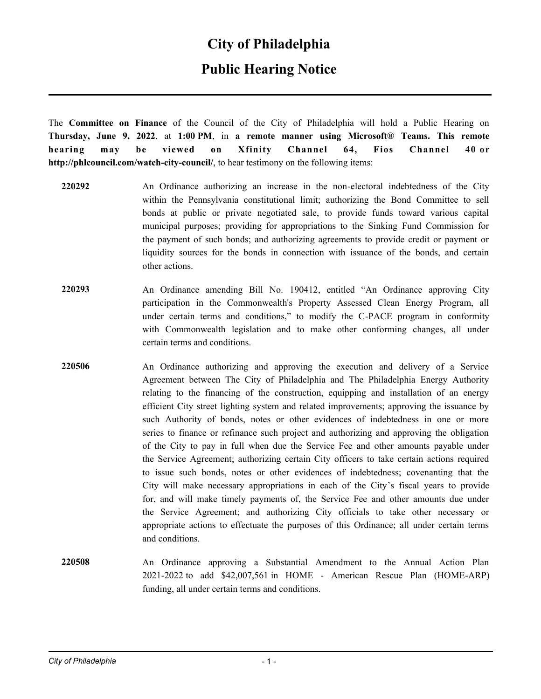### **City of Philadelphia**

### **Public Hearing Notice**

The **Committee on Finance** of the Council of the City of Philadelphia will hold a Public Hearing on **Thursday, June 9, 2022**, at **1:00 PM**, in **a remote manner using Microsoft® Teams. This remote hearing may be viewed on Xfinity Channel 64, Fios Channel 40 or http://phlcouncil.com/watch-city-council/**, to hear testimony on the following items:

- **220292** An Ordinance authorizing an increase in the non-electoral indebtedness of the City within the Pennsylvania constitutional limit; authorizing the Bond Committee to sell bonds at public or private negotiated sale, to provide funds toward various capital municipal purposes; providing for appropriations to the Sinking Fund Commission for the payment of such bonds; and authorizing agreements to provide credit or payment or liquidity sources for the bonds in connection with issuance of the bonds, and certain other actions.
- **220293** An Ordinance amending Bill No. 190412, entitled "An Ordinance approving City participation in the Commonwealth's Property Assessed Clean Energy Program, all under certain terms and conditions," to modify the C-PACE program in conformity with Commonwealth legislation and to make other conforming changes, all under certain terms and conditions.
- **220506** An Ordinance authorizing and approving the execution and delivery of a Service Agreement between The City of Philadelphia and The Philadelphia Energy Authority relating to the financing of the construction, equipping and installation of an energy efficient City street lighting system and related improvements; approving the issuance by such Authority of bonds, notes or other evidences of indebtedness in one or more series to finance or refinance such project and authorizing and approving the obligation of the City to pay in full when due the Service Fee and other amounts payable under the Service Agreement; authorizing certain City officers to take certain actions required to issue such bonds, notes or other evidences of indebtedness; covenanting that the City will make necessary appropriations in each of the City's fiscal years to provide for, and will make timely payments of, the Service Fee and other amounts due under the Service Agreement; and authorizing City officials to take other necessary or appropriate actions to effectuate the purposes of this Ordinance; all under certain terms and conditions.
- **220508** An Ordinance approving a Substantial Amendment to the Annual Action Plan 2021-2022 to add \$42,007,561 in HOME - American Rescue Plan (HOME-ARP) funding, all under certain terms and conditions.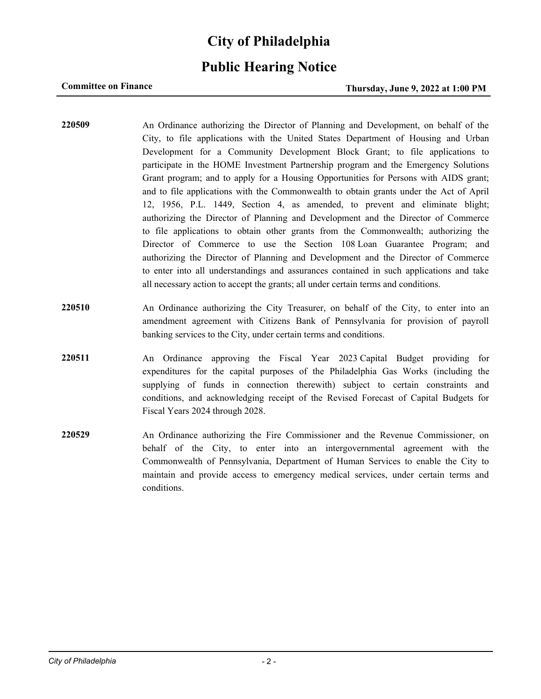# **City of Philadelphia**

## **Public Hearing Notice**

### **Committee on Finance Thursday, June 9, 2022 at 1:00 PM**

- **220509** An Ordinance authorizing the Director of Planning and Development, on behalf of the City, to file applications with the United States Department of Housing and Urban Development for a Community Development Block Grant; to file applications to participate in the HOME Investment Partnership program and the Emergency Solutions Grant program; and to apply for a Housing Opportunities for Persons with AIDS grant; and to file applications with the Commonwealth to obtain grants under the Act of April 12, 1956, P.L. 1449, Section 4, as amended, to prevent and eliminate blight; authorizing the Director of Planning and Development and the Director of Commerce to file applications to obtain other grants from the Commonwealth; authorizing the Director of Commerce to use the Section 108 Loan Guarantee Program; and authorizing the Director of Planning and Development and the Director of Commerce to enter into all understandings and assurances contained in such applications and take all necessary action to accept the grants; all under certain terms and conditions.
- **220510** An Ordinance authorizing the City Treasurer, on behalf of the City, to enter into an amendment agreement with Citizens Bank of Pennsylvania for provision of payroll banking services to the City, under certain terms and conditions.
- **220511** An Ordinance approving the Fiscal Year 2023 Capital Budget providing for expenditures for the capital purposes of the Philadelphia Gas Works (including the supplying of funds in connection therewith) subject to certain constraints and conditions, and acknowledging receipt of the Revised Forecast of Capital Budgets for Fiscal Years 2024 through 2028.
- **220529** An Ordinance authorizing the Fire Commissioner and the Revenue Commissioner, on behalf of the City, to enter into an intergovernmental agreement with the Commonwealth of Pennsylvania, Department of Human Services to enable the City to maintain and provide access to emergency medical services, under certain terms and conditions.